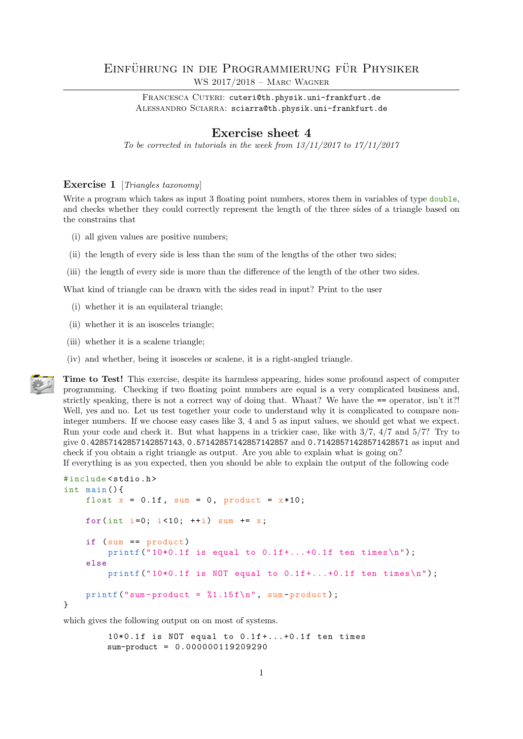## EINFÜHRUNG IN DIE PROGRAMMIERUNG FÜR PHYSIKER WS 2017/2018 – Marc Wagner

FRANCESCA CUTERI: cuteri@th.physik.uni-frankfurt.de ALESSANDRO SCIARRA: sciarra@th.physik.uni-frankfurt.de

## Exercise sheet 4

To be corrected in tutorials in the week from  $13/11/2017$  to  $17/11/2017$ 

## Exercise 1 [Triangles taxonomy]

Write a program which takes as input 3 floating point numbers, stores them in variables of type double, and checks whether they could correctly represent the length of the three sides of a triangle based on the constrains that

- (i) all given values are positive numbers;
- (ii) the length of every side is less than the sum of the lengths of the other two sides;
- (iii) the length of every side is more than the difference of the length of the other two sides.

What kind of triangle can be drawn with the sides read in input? Print to the user

- (i) whether it is an equilateral triangle;
- (ii) whether it is an isosceles triangle;
- (iii) whether it is a scalene triangle;
- (iv) and whether, being it isosceles or scalene, it is a right-angled triangle.

Time to Test! This exercise, despite its harmless appearing, hides some profound aspect of computer programming. Checking if two floating point numbers are equal is a very complicated business and, strictly speaking, there is not a correct way of doing that. Whaat? We have the == operator, isn't it?! Well, yes and no. Let us test together your code to understand why it is complicated to compare noninteger numbers. If we choose easy cases like 3, 4 and 5 as input values, we should get what we expect. Run your code and check it. But what happens in a trickier case, like with 3/7, 4/7 and 5/7? Try to give 0.42857142857142857143, 0.57142857142857142857 and 0.71428571428571428571 as input and check if you obtain a right triangle as output. Are you able to explain what is going on?

If everything is as you expected, then you should be able to explain the output of the following code

```
# include < stdio .h >
int main () {
    float x = 0.1f, sum = 0, product = x * 10;
    for(int i=0; i<10; ++i) sum += x;if (sum == product )
         printf ("10*0.1f is equal to 0.1f+...+0.1f ten times\n\ln");
    else
         printf ("10*0.1f is NOT equal to 0.1f +...+0.1f ten times \n\binom{n}{r};
    printf ("sum-product = \frac{1}{1.15f\cdot n}", sum-product);
}
```
which gives the following output on on most of systems.

 $10*0.1f$  is NOT equal to  $0.1f+.$ ...+0.1f ten times sum-product = 0.000000119209290